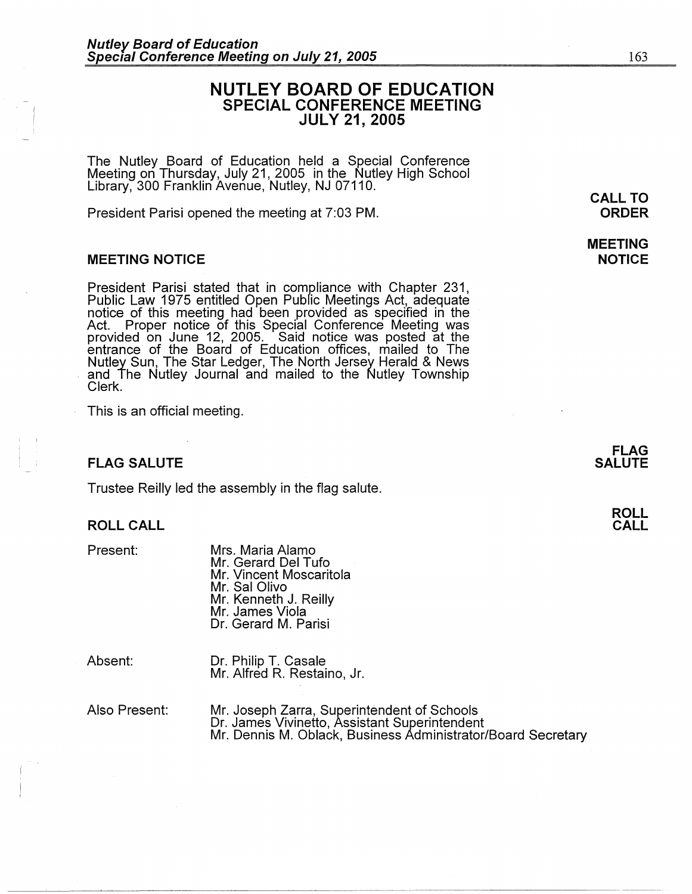# **NUTLEY BOARD OF EDUCATION SPECIAL CONFERENCE MEETING JULY 21, 2005**

The Nutley Board of Education held a Special Conference Meeting on Thursday, July 21, 2005 in the Nutley High School Library, 300 Franklin Avenue, Nutley, NJ 07110.

President Parisi opened the meeting at 7:03 PM.

#### **MEETING NOTICE**

President Parisi stated that in compliance with Chapter 231, Public Law 1975 entitled Open Public Meetings Act, adequate notice of this meeting had been provided as specified in the Act. Proper notice of this Special Conference Meeting was provided on June 12, 2005. Said notice was posted at the entrance of the Board of Education offices, mailed to The Nutley Sun, The Star Ledger, The North Jersey Herald & News and The Nutley Journal and mailed to the Nutley Township Clerk.

This is an official meeting.

## **FLAG SALUTE**

Trustee Reilly led the assembly in the flag salute.

### **ROLL CALL**

Present:

Mrs. Maria Alamo Mr. Gerard Del Tufo Mr. Vincent Moscaritola Mr. Sal Olivo Mr. Kenneth J. Reilly Mr. James Viola Dr. Gerard M. Parisi

Absent:

Dr. Philip T. Casale Mr. Alfred R. Restaino, Jr.

Also Present:

Mr. Joseph Zarra, Superintendent of Schools Dr. James Vivinetto, Assistant Superintendent Mr. Dennis M. Oblack, Business Administrator/Board Secretary

#### **FLAG SALUTE**

**ROLL CALL** 

**MEETING** 

**CALL TO ORDER** 

**NOTICE**